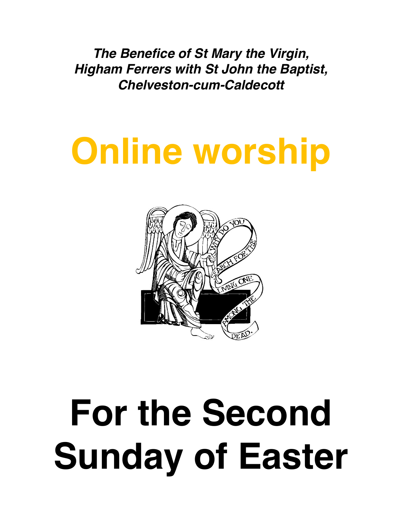*The Benefice of St Mary the Virgin, Higham Ferrers with St John the Baptist, Chelveston-cum-Caldecott* 

# **Online worship**



# **For the Second Sunday of Easter**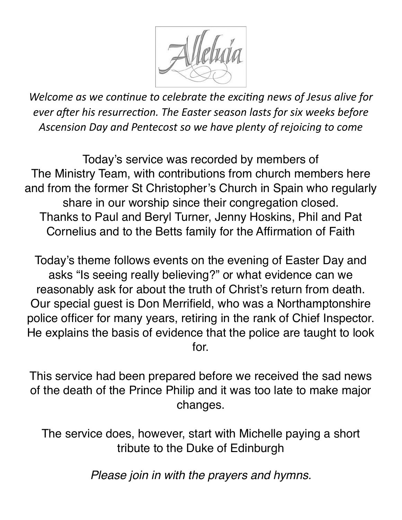

*Welcome as we continue to celebrate the exciting news of Jesus alive for ever after his resurrection. The Easter season lasts for six weeks before Ascension Day and Pentecost so we have plenty of rejoicing to come*

Today's service was recorded by members of The Ministry Team, with contributions from church members here and from the former St Christopher's Church in Spain who regularly share in our worship since their congregation closed. Thanks to Paul and Beryl Turner, Jenny Hoskins, Phil and Pat Cornelius and to the Betts family for the Affirmation of Faith

Today's theme follows events on the evening of Easter Day and asks "Is seeing really believing?" or what evidence can we reasonably ask for about the truth of Christ's return from death. Our special guest is Don Merrifield, who was a Northamptonshire police officer for many years, retiring in the rank of Chief Inspector. He explains the basis of evidence that the police are taught to look for.

This service had been prepared before we received the sad news of the death of the Prince Philip and it was too late to make major changes.

The service does, however, start with Michelle paying a short tribute to the Duke of Edinburgh

*Please join in with the prayers and hymns.*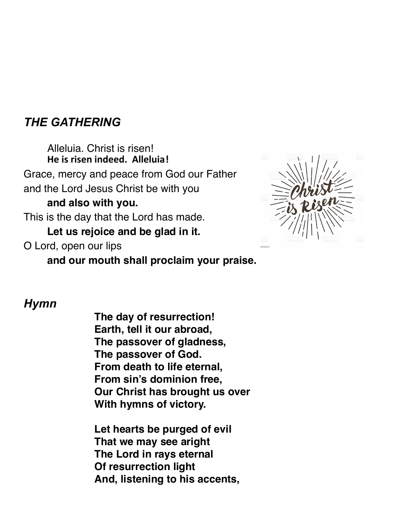## *THE GATHERING*

Alleluia. Christ is risen! **He is risen indeed. Alleluia!** Grace, mercy and peace from God our Father and the Lord Jesus Christ be with you **and also with you.**  This is the day that the Lord has made. **Let us rejoice and be glad in it.** O Lord, open our lips



**and our mouth shall proclaim your praise.** 

#### *Hymn*

**The day of resurrection! Earth, tell it our abroad, The passover of gladness, The passover of God. From death to life eternal, From sin's dominion free, Our Christ has brought us over With hymns of victory.**

**Let hearts be purged of evil That we may see aright The Lord in rays eternal Of resurrection light And, listening to his accents,**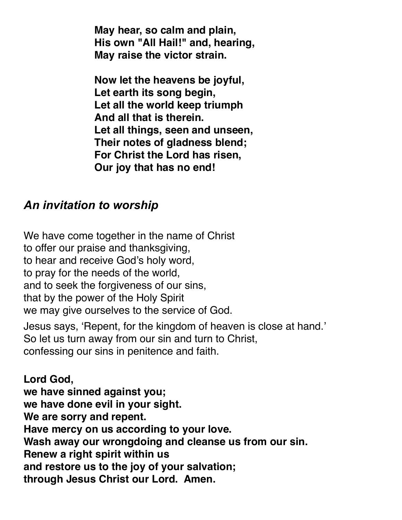**May hear, so calm and plain, His own "All Hail!" and, hearing, May raise the victor strain.**

**Now let the heavens be joyful, Let earth its song begin, Let all the world keep triumph And all that is therein. Let all things, seen and unseen, Their notes of gladness blend; For Christ the Lord has risen, Our joy that has no end!** 

#### *An invitation to worship*

We have come together in the name of Christ to offer our praise and thanksgiving, to hear and receive God's holy word, to pray for the needs of the world, and to seek the forgiveness of our sins, that by the power of the Holy Spirit we may give ourselves to the service of God.

Jesus says, 'Repent, for the kingdom of heaven is close at hand.' So let us turn away from our sin and turn to Christ, confessing our sins in penitence and faith.

**Lord God, we have sinned against you; we have done evil in your sight. We are sorry and repent. Have mercy on us according to your love. Wash away our wrongdoing and cleanse us from our sin. Renew a right spirit within us and restore us to the joy of your salvation; through Jesus Christ our Lord. Amen.**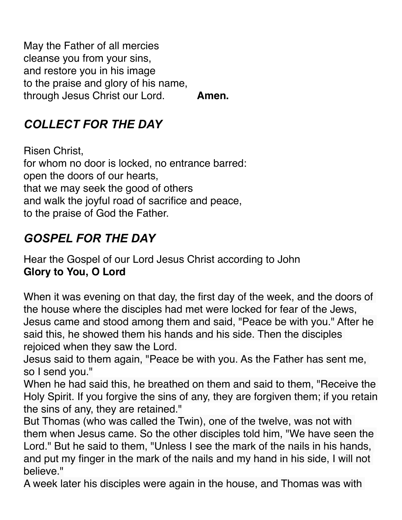May the Father of all mercies cleanse you from your sins, and restore you in his image to the praise and glory of his name, through Jesus Christ our Lord. **Amen.** 

# *COLLECT FOR THE DAY*

Risen Christ, for whom no door is locked, no entrance barred: open the doors of our hearts, that we may seek the good of others and walk the joyful road of sacrifice and peace, to the praise of God the Father.

# *GOSPEL FOR THE DAY*

Hear the Gospel of our Lord Jesus Christ according to John **Glory to You, O Lord** 

When it was evening on that day, the first day of the week, and the doors of the house where the disciples had met were locked for fear of the Jews, Jesus came and stood among them and said, "Peace be with you." After he said this, he showed them his hands and his side. Then the disciples rejoiced when they saw the Lord.

Jesus said to them again, "Peace be with you. As the Father has sent me, so I send you."

When he had said this, he breathed on them and said to them, "Receive the Holy Spirit. If you forgive the sins of any, they are forgiven them; if you retain the sins of any, they are retained."

But Thomas (who was called the Twin), one of the twelve, was not with them when Jesus came. So the other disciples told him, "We have seen the Lord." But he said to them, "Unless I see the mark of the nails in his hands, and put my finger in the mark of the nails and my hand in his side, I will not believe."

A week later his disciples were again in the house, and Thomas was with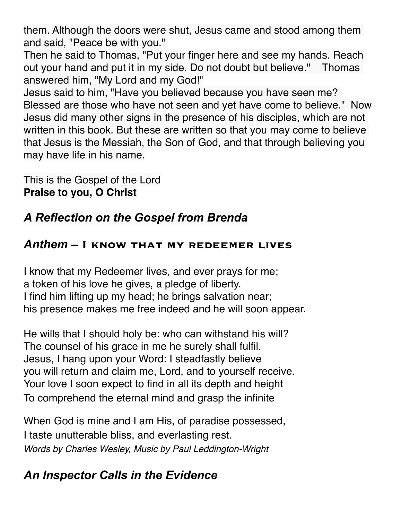them. Although the doors were shut, Jesus came and stood among them and said, "Peace be with you."

Then he said to Thomas, "Put your finger here and see my hands. Reach out your hand and put it in my side. Do not doubt but believe." Thomas answered him, "My Lord and my God!"

Jesus said to him, "Have you believed because you have seen me? Blessed are those who have not seen and yet have come to believe." Now Jesus did many other signs in the presence of his disciples, which are not written in this book. But these are written so that you may come to believe that Jesus is the Messiah, the Son of God, and that through believing you may have life in his name.

This is the Gospel of the Lord **Praise to you, O Christ** 

# *A Reflection on the Gospel from Brenda*

#### *Anthem* **– I know that my redeemer lives**

I know that my Redeemer lives, and ever prays for me; a token of his love he gives, a pledge of liberty. I find him lifting up my head; he brings salvation near; his presence makes me free indeed and he will soon appear.

He wills that I should holy be: who can withstand his will? The counsel of his grace in me he surely shall fulfil. Jesus, I hang upon your Word: I steadfastly believe you will return and claim me, Lord, and to yourself receive. Your love I soon expect to find in all its depth and height To comprehend the eternal mind and grasp the infinite

When God is mine and I am His, of paradise possessed, I taste unutterable bliss, and everlasting rest. *Words by Charles Wesley, Music by Paul Leddington-Wright*

# *An Inspector Calls in the Evidence*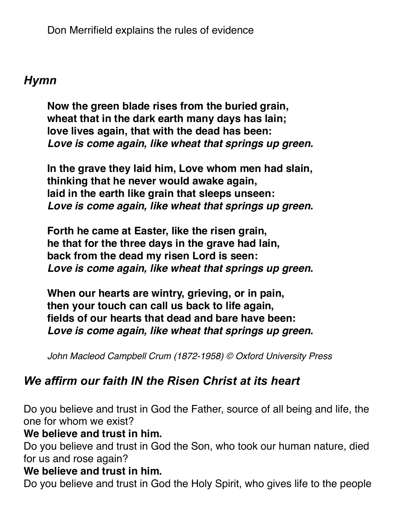Don Merrifield explains the rules of evidence

#### *Hymn*

**Now the green blade rises from the buried grain, wheat that in the dark earth many days has lain; love lives again, that with the dead has been:** *Love is come again, like wheat that springs up green.* 

**In the grave they laid him, Love whom men had slain, thinking that he never would awake again, laid in the earth like grain that sleeps unseen:** *Love is come again, like wheat that springs up green.*

**Forth he came at Easter, like the risen grain, he that for the three days in the grave had lain, back from the dead my risen Lord is seen:** *Love is come again, like wheat that springs up green.*

**When our hearts are wintry, grieving, or in pain, then your touch can call us back to life again, fields of our hearts that dead and bare have been:** *Love is come again, like wheat that springs up green.*

*John Macleod Campbell Crum (1872-1958) © Oxford University Press*

# *We affirm our faith IN the Risen Christ at its heart*

Do you believe and trust in God the Father, source of all being and life, the one for whom we exist?

#### **We believe and trust in him.**

Do you believe and trust in God the Son, who took our human nature, died for us and rose again?

#### **We believe and trust in him.**

Do you believe and trust in God the Holy Spirit, who gives life to the people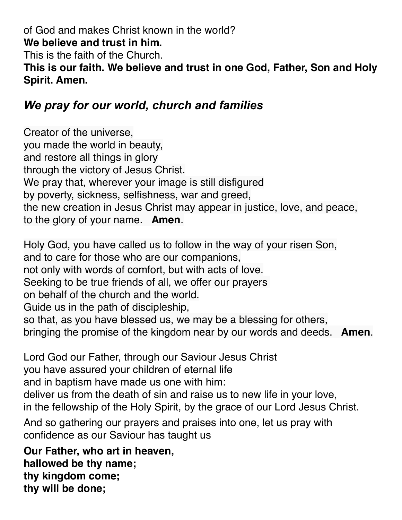of God and makes Christ known in the world? **We believe and trust in him.** This is the faith of the Church.

**This is our faith. We believe and trust in one God, Father, Son and Holy Spirit. Amen.** 

# *We pray for our world, church and families*

Creator of the universe, you made the world in beauty, and restore all things in glory through the victory of Jesus Christ. We pray that, wherever your image is still disfigured by poverty, sickness, selfishness, war and greed, the new creation in Jesus Christ may appear in justice, love, and peace, to the glory of your name. **Amen**.

Holy God, you have called us to follow in the way of your risen Son, and to care for those who are our companions, not only with words of comfort, but with acts of love. Seeking to be true friends of all, we offer our prayers on behalf of the church and the world. Guide us in the path of discipleship, so that, as you have blessed us, we may be a blessing for others, bringing the promise of the kingdom near by our words and deeds. **Amen**.

Lord God our Father, through our Saviour Jesus Christ you have assured your children of eternal life and in baptism have made us one with him: deliver us from the death of sin and raise us to new life in your love, in the fellowship of the Holy Spirit, by the grace of our Lord Jesus Christ. And so gathering our prayers and praises into one, let us pray with confidence as our Saviour has taught us

**Our Father, who art in heaven, hallowed be thy name; thy kingdom come; thy will be done;**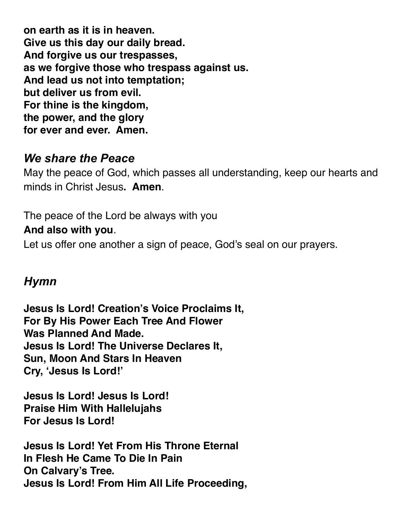**on earth as it is in heaven. Give us this day our daily bread. And forgive us our trespasses, as we forgive those who trespass against us. And lead us not into temptation; but deliver us from evil. For thine is the kingdom, the power, and the glory for ever and ever. Amen.** 

### *We share the Peace*

May the peace of God, which passes all understanding, keep our hearts and minds in Christ Jesus**. Amen**.

The peace of the Lord be always with you **And also with you**.

Let us offer one another a sign of peace, God's seal on our prayers.

## *Hymn*

**Jesus Is Lord! Creation's Voice Proclaims It, For By His Power Each Tree And Flower Was Planned And Made. Jesus Is Lord! The Universe Declares It, Sun, Moon And Stars In Heaven Cry, 'Jesus Is Lord!'** 

**Jesus Is Lord! Jesus Is Lord! Praise Him With Hallelujahs For Jesus Is Lord!** 

**Jesus Is Lord! Yet From His Throne Eternal In Flesh He Came To Die In Pain On Calvary's Tree. Jesus Is Lord! From Him All Life Proceeding,**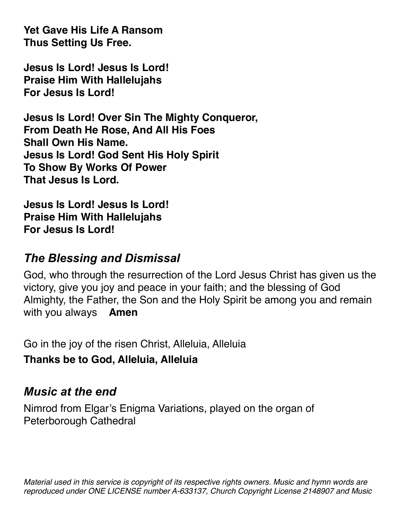**Yet Gave His Life A Ransom Thus Setting Us Free.** 

**Jesus Is Lord! Jesus Is Lord! Praise Him With Hallelujahs For Jesus Is Lord!** 

**Jesus Is Lord! Over Sin The Mighty Conqueror, From Death He Rose, And All His Foes Shall Own His Name. Jesus Is Lord! God Sent His Holy Spirit To Show By Works Of Power That Jesus Is Lord.** 

**Jesus Is Lord! Jesus Is Lord! Praise Him With Hallelujahs For Jesus Is Lord!** 

# *The Blessing and Dismissal*

God, who through the resurrection of the Lord Jesus Christ has given us the victory, give you joy and peace in your faith; and the blessing of God Almighty, the Father, the Son and the Holy Spirit be among you and remain with you always **Amen** 

Go in the joy of the risen Christ, Alleluia, Alleluia

**Thanks be to God, Alleluia, Alleluia** 

# *Music at the end*

Nimrod from Elgar's Enigma Variations, played on the organ of Peterborough Cathedral